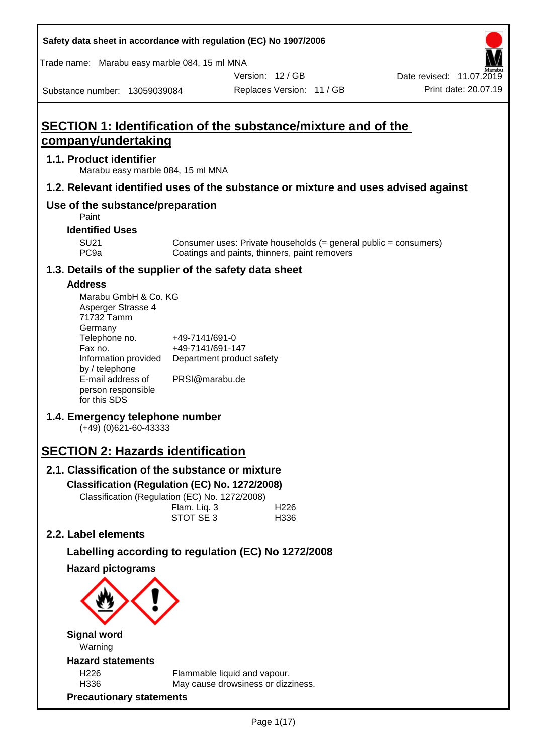| Trade name: Marabu easy marble 084, 15 ml MNA<br>Version: 12 / GB<br>Date revised: 11.07.2019<br>Print date: 20.07.19<br>Replaces Version: 11 / GB<br>Substance number: 13059039084<br>SECTION 1: Identification of the substance/mixture and of the<br>company/undertaking<br>1.1. Product identifier<br>Marabu easy marble 084, 15 ml MNA<br>1.2. Relevant identified uses of the substance or mixture and uses advised against<br>Use of the substance/preparation<br>Paint<br><b>Identified Uses</b><br><b>SU21</b><br>Consumer uses: Private households (= general public = consumers)<br>PC <sub>9a</sub><br>Coatings and paints, thinners, paint removers<br>1.3. Details of the supplier of the safety data sheet<br><b>Address</b><br>Marabu GmbH & Co. KG<br>Asperger Strasse 4<br>71732 Tamm | Safety data sheet in accordance with regulation (EC) No 1907/2006 |  |  |
|---------------------------------------------------------------------------------------------------------------------------------------------------------------------------------------------------------------------------------------------------------------------------------------------------------------------------------------------------------------------------------------------------------------------------------------------------------------------------------------------------------------------------------------------------------------------------------------------------------------------------------------------------------------------------------------------------------------------------------------------------------------------------------------------------------|-------------------------------------------------------------------|--|--|
|                                                                                                                                                                                                                                                                                                                                                                                                                                                                                                                                                                                                                                                                                                                                                                                                         |                                                                   |  |  |
|                                                                                                                                                                                                                                                                                                                                                                                                                                                                                                                                                                                                                                                                                                                                                                                                         |                                                                   |  |  |
|                                                                                                                                                                                                                                                                                                                                                                                                                                                                                                                                                                                                                                                                                                                                                                                                         |                                                                   |  |  |
|                                                                                                                                                                                                                                                                                                                                                                                                                                                                                                                                                                                                                                                                                                                                                                                                         |                                                                   |  |  |
|                                                                                                                                                                                                                                                                                                                                                                                                                                                                                                                                                                                                                                                                                                                                                                                                         |                                                                   |  |  |
|                                                                                                                                                                                                                                                                                                                                                                                                                                                                                                                                                                                                                                                                                                                                                                                                         |                                                                   |  |  |
|                                                                                                                                                                                                                                                                                                                                                                                                                                                                                                                                                                                                                                                                                                                                                                                                         |                                                                   |  |  |
|                                                                                                                                                                                                                                                                                                                                                                                                                                                                                                                                                                                                                                                                                                                                                                                                         |                                                                   |  |  |
|                                                                                                                                                                                                                                                                                                                                                                                                                                                                                                                                                                                                                                                                                                                                                                                                         |                                                                   |  |  |
|                                                                                                                                                                                                                                                                                                                                                                                                                                                                                                                                                                                                                                                                                                                                                                                                         |                                                                   |  |  |
| Germany<br>Telephone no.<br>+49-7141/691-0<br>Fax no.<br>+49-7141/691-147<br>Information provided<br>Department product safety<br>by / telephone<br>PRSI@marabu.de<br>E-mail address of<br>person responsible<br>for this SDS<br>1.4. Emergency telephone number<br>$(+49)$ (0)621-60-43333<br><b>SECTION 2: Hazards identification</b><br>2.1. Classification of the substance or mixture<br>Classification (Regulation (EC) No. 1272/2008)<br>Classification (Regulation (EC) No. 1272/2008)<br>Flam. Liq. 3<br>H <sub>226</sub><br>STOT SE 3<br>H336                                                                                                                                                                                                                                                 |                                                                   |  |  |
| 2.2. Label elements                                                                                                                                                                                                                                                                                                                                                                                                                                                                                                                                                                                                                                                                                                                                                                                     |                                                                   |  |  |
| Labelling according to regulation (EC) No 1272/2008<br><b>Hazard pictograms</b><br><b>Signal word</b><br>Warning<br><b>Hazard statements</b><br>H <sub>226</sub><br>Flammable liquid and vapour.                                                                                                                                                                                                                                                                                                                                                                                                                                                                                                                                                                                                        |                                                                   |  |  |
| H336<br>May cause drowsiness or dizziness.<br><b>Precautionary statements</b>                                                                                                                                                                                                                                                                                                                                                                                                                                                                                                                                                                                                                                                                                                                           |                                                                   |  |  |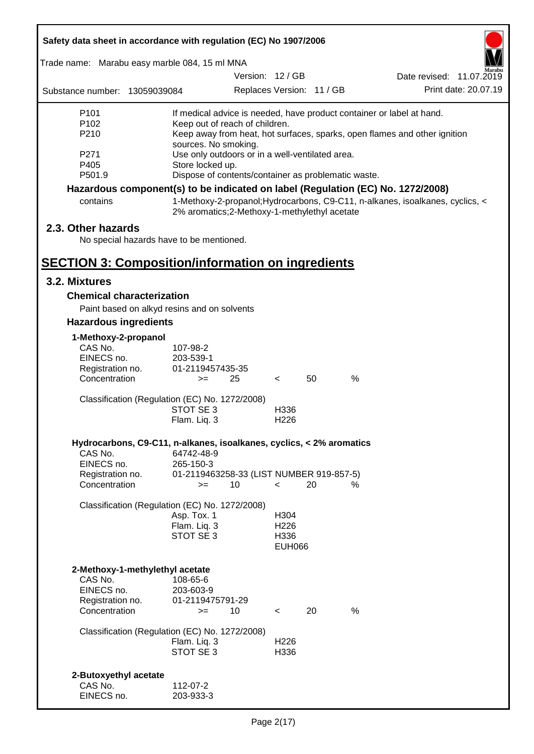|                                                          | Safety data sheet in accordance with regulation (EC) No 1907/2006               |                                                                         |                           |    |      |                                                                               |  |
|----------------------------------------------------------|---------------------------------------------------------------------------------|-------------------------------------------------------------------------|---------------------------|----|------|-------------------------------------------------------------------------------|--|
| Trade name: Marabu easy marble 084, 15 ml MNA            |                                                                                 |                                                                         |                           |    |      |                                                                               |  |
|                                                          |                                                                                 |                                                                         | Version: 12 / GB          |    |      | Date revised: 11.07.2019                                                      |  |
| Substance number: 13059039084                            |                                                                                 |                                                                         | Replaces Version: 11 / GB |    |      | Print date: 20.07.19                                                          |  |
| P101                                                     |                                                                                 | If medical advice is needed, have product container or label at hand.   |                           |    |      |                                                                               |  |
| P102                                                     |                                                                                 | Keep out of reach of children.                                          |                           |    |      |                                                                               |  |
| P210                                                     |                                                                                 |                                                                         |                           |    |      | Keep away from heat, hot surfaces, sparks, open flames and other ignition     |  |
| P271                                                     |                                                                                 | sources. No smoking.<br>Use only outdoors or in a well-ventilated area. |                           |    |      |                                                                               |  |
| P405                                                     |                                                                                 | Store locked up.                                                        |                           |    |      |                                                                               |  |
| P501.9                                                   |                                                                                 | Dispose of contents/container as problematic waste.                     |                           |    |      |                                                                               |  |
|                                                          | Hazardous component(s) to be indicated on label (Regulation (EC) No. 1272/2008) |                                                                         |                           |    |      |                                                                               |  |
| contains                                                 |                                                                                 | 2% aromatics; 2-Methoxy-1-methylethyl acetate                           |                           |    |      | 1-Methoxy-2-propanol; Hydrocarbons, C9-C11, n-alkanes, isoalkanes, cyclics, < |  |
| 2.3. Other hazards                                       |                                                                                 |                                                                         |                           |    |      |                                                                               |  |
|                                                          | No special hazards have to be mentioned.                                        |                                                                         |                           |    |      |                                                                               |  |
|                                                          |                                                                                 |                                                                         |                           |    |      |                                                                               |  |
| <b>SECTION 3: Composition/information on ingredients</b> |                                                                                 |                                                                         |                           |    |      |                                                                               |  |
| 3.2. Mixtures                                            |                                                                                 |                                                                         |                           |    |      |                                                                               |  |
|                                                          | <b>Chemical characterization</b>                                                |                                                                         |                           |    |      |                                                                               |  |
|                                                          | Paint based on alkyd resins and on solvents                                     |                                                                         |                           |    |      |                                                                               |  |
| <b>Hazardous ingredients</b>                             |                                                                                 |                                                                         |                           |    |      |                                                                               |  |
| 1-Methoxy-2-propanol                                     |                                                                                 |                                                                         |                           |    |      |                                                                               |  |
| CAS No.                                                  | 107-98-2                                                                        |                                                                         |                           |    |      |                                                                               |  |
| EINECS no.                                               | 203-539-1                                                                       |                                                                         |                           |    |      |                                                                               |  |
| Registration no.                                         |                                                                                 | 01-2119457435-35                                                        |                           |    |      |                                                                               |  |
| Concentration                                            |                                                                                 | 25<br>$>=$                                                              | $\,<\,$                   | 50 | %    |                                                                               |  |
|                                                          | Classification (Regulation (EC) No. 1272/2008)                                  |                                                                         |                           |    |      |                                                                               |  |
|                                                          | STOT SE 3                                                                       |                                                                         | H336                      |    |      |                                                                               |  |
|                                                          | Flam. Liq. 3                                                                    |                                                                         | H <sub>226</sub>          |    |      |                                                                               |  |
|                                                          | Hydrocarbons, C9-C11, n-alkanes, isoalkanes, cyclics, < 2% aromatics            |                                                                         |                           |    |      |                                                                               |  |
| CAS No.                                                  | 64742-48-9                                                                      |                                                                         |                           |    |      |                                                                               |  |
| EINECS no.                                               | 265-150-3                                                                       |                                                                         |                           |    |      |                                                                               |  |
| Registration no.                                         |                                                                                 | 01-2119463258-33 (LIST NUMBER 919-857-5)                                |                           |    |      |                                                                               |  |
| Concentration                                            |                                                                                 | 10<br>$>=$                                                              | $\overline{\phantom{0}}$  | 20 | %    |                                                                               |  |
|                                                          | Classification (Regulation (EC) No. 1272/2008)                                  |                                                                         |                           |    |      |                                                                               |  |
|                                                          | Asp. Tox. 1                                                                     |                                                                         | H304                      |    |      |                                                                               |  |
|                                                          | Flam. Liq. 3                                                                    |                                                                         | H <sub>226</sub>          |    |      |                                                                               |  |
|                                                          | STOT SE 3                                                                       |                                                                         | H336                      |    |      |                                                                               |  |
|                                                          |                                                                                 |                                                                         | <b>EUH066</b>             |    |      |                                                                               |  |
|                                                          |                                                                                 |                                                                         |                           |    |      |                                                                               |  |
| CAS No.                                                  | 2-Methoxy-1-methylethyl acetate<br>108-65-6                                     |                                                                         |                           |    |      |                                                                               |  |
| EINECS no.                                               | 203-603-9                                                                       |                                                                         |                           |    |      |                                                                               |  |
| Registration no.                                         |                                                                                 | 01-2119475791-29                                                        |                           |    |      |                                                                               |  |
| Concentration                                            |                                                                                 | 10<br>$>=$                                                              | $\overline{\phantom{0}}$  | 20 | $\%$ |                                                                               |  |
|                                                          | Classification (Regulation (EC) No. 1272/2008)                                  |                                                                         |                           |    |      |                                                                               |  |
|                                                          | Flam. Liq. 3                                                                    |                                                                         | H <sub>226</sub>          |    |      |                                                                               |  |
|                                                          | STOT SE 3                                                                       |                                                                         | H336                      |    |      |                                                                               |  |
|                                                          |                                                                                 |                                                                         |                           |    |      |                                                                               |  |
| 2-Butoxyethyl acetate                                    |                                                                                 |                                                                         |                           |    |      |                                                                               |  |
| CAS No.                                                  | 112-07-2                                                                        |                                                                         |                           |    |      |                                                                               |  |
| EINECS no.                                               | 203-933-3                                                                       |                                                                         |                           |    |      |                                                                               |  |

 $\mathbf{r}$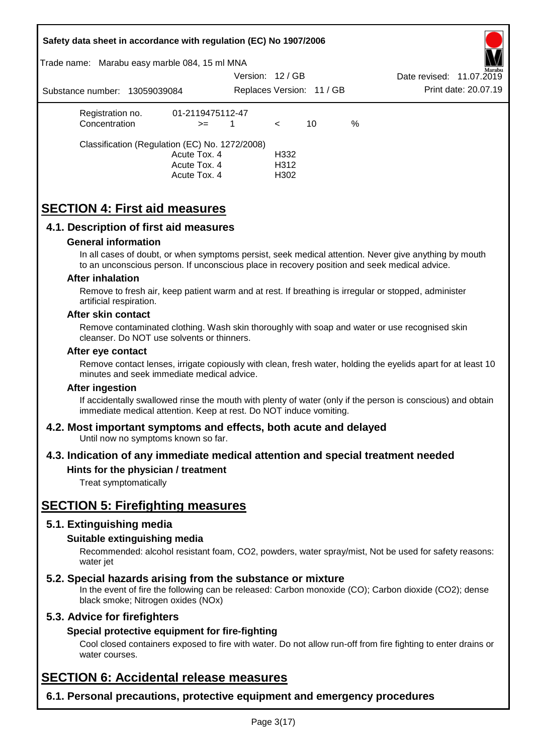|           |                         |                               | Safety data sheet in accordance with regulation (EC) No 1907/2006                                       |                  |              |                           |   |                                                                                                                                                                                                       |
|-----------|-------------------------|-------------------------------|---------------------------------------------------------------------------------------------------------|------------------|--------------|---------------------------|---|-------------------------------------------------------------------------------------------------------------------------------------------------------------------------------------------------------|
|           |                         |                               | Trade name: Marabu easy marble 084, 15 ml MNA                                                           |                  |              |                           |   |                                                                                                                                                                                                       |
|           |                         |                               |                                                                                                         | Version: 12 / GB |              |                           |   | Date revised: 11.07.2019                                                                                                                                                                              |
|           |                         | Substance number: 13059039084 |                                                                                                         |                  |              | Replaces Version: 11 / GB |   | Print date: 20.07.19                                                                                                                                                                                  |
|           | Registration no.        |                               | 01-2119475112-47                                                                                        |                  |              |                           |   |                                                                                                                                                                                                       |
|           | Concentration           |                               | $>=$                                                                                                    | $\mathbf{1}$     | $\prec$      | 10                        | % |                                                                                                                                                                                                       |
|           |                         |                               | Classification (Regulation (EC) No. 1272/2008)                                                          |                  |              |                           |   |                                                                                                                                                                                                       |
|           |                         |                               | Acute Tox. 4                                                                                            |                  | H332         |                           |   |                                                                                                                                                                                                       |
|           |                         |                               | Acute Tox. 4<br>Acute Tox. 4                                                                            |                  | H312<br>H302 |                           |   |                                                                                                                                                                                                       |
|           |                         |                               |                                                                                                         |                  |              |                           |   |                                                                                                                                                                                                       |
|           |                         |                               | <b>SECTION 4: First aid measures</b>                                                                    |                  |              |                           |   |                                                                                                                                                                                                       |
|           |                         |                               | 4.1. Description of first aid measures                                                                  |                  |              |                           |   |                                                                                                                                                                                                       |
|           |                         | <b>General information</b>    |                                                                                                         |                  |              |                           |   |                                                                                                                                                                                                       |
|           |                         |                               |                                                                                                         |                  |              |                           |   | In all cases of doubt, or when symptoms persist, seek medical attention. Never give anything by mouth<br>to an unconscious person. If unconscious place in recovery position and seek medical advice. |
|           | <b>After inhalation</b> |                               |                                                                                                         |                  |              |                           |   |                                                                                                                                                                                                       |
|           |                         | artificial respiration.       |                                                                                                         |                  |              |                           |   | Remove to fresh air, keep patient warm and at rest. If breathing is irregular or stopped, administer                                                                                                  |
|           | After skin contact      |                               |                                                                                                         |                  |              |                           |   |                                                                                                                                                                                                       |
|           |                         |                               | cleanser. Do NOT use solvents or thinners.                                                              |                  |              |                           |   | Remove contaminated clothing. Wash skin thoroughly with soap and water or use recognised skin                                                                                                         |
|           | After eye contact       |                               |                                                                                                         |                  |              |                           |   |                                                                                                                                                                                                       |
|           |                         |                               | minutes and seek immediate medical advice.                                                              |                  |              |                           |   | Remove contact lenses, irrigate copiously with clean, fresh water, holding the eyelids apart for at least 10                                                                                          |
|           | <b>After ingestion</b>  |                               |                                                                                                         |                  |              |                           |   |                                                                                                                                                                                                       |
|           |                         |                               | immediate medical attention. Keep at rest. Do NOT induce vomiting.                                      |                  |              |                           |   | If accidentally swallowed rinse the mouth with plenty of water (only if the person is conscious) and obtain                                                                                           |
|           |                         |                               | 4.2. Most important symptoms and effects, both acute and delayed<br>Until now no symptoms known so far. |                  |              |                           |   |                                                                                                                                                                                                       |
|           |                         |                               |                                                                                                         |                  |              |                           |   | 4.3. Indication of any immediate medical attention and special treatment needed                                                                                                                       |
|           |                         | Treat symptomatically         | Hints for the physician / treatment                                                                     |                  |              |                           |   |                                                                                                                                                                                                       |
|           |                         |                               |                                                                                                         |                  |              |                           |   |                                                                                                                                                                                                       |
|           |                         |                               | <b>SECTION 5: Firefighting measures</b>                                                                 |                  |              |                           |   |                                                                                                                                                                                                       |
|           |                         | 5.1. Extinguishing media      |                                                                                                         |                  |              |                           |   |                                                                                                                                                                                                       |
|           |                         | Suitable extinguishing media  |                                                                                                         |                  |              |                           |   |                                                                                                                                                                                                       |
| water jet |                         |                               |                                                                                                         |                  |              |                           |   | Recommended: alcohol resistant foam, CO2, powders, water spray/mist, Not be used for safety reasons:                                                                                                  |
|           |                         |                               | 5.2. Special hazards arising from the substance or mixture                                              |                  |              |                           |   |                                                                                                                                                                                                       |
|           |                         |                               | black smoke; Nitrogen oxides (NOx)                                                                      |                  |              |                           |   | In the event of fire the following can be released: Carbon monoxide (CO); Carbon dioxide (CO2); dense                                                                                                 |
|           |                         | 5.3. Advice for firefighters  |                                                                                                         |                  |              |                           |   |                                                                                                                                                                                                       |
|           |                         |                               | Special protective equipment for fire-fighting                                                          |                  |              |                           |   |                                                                                                                                                                                                       |
|           | water courses.          |                               |                                                                                                         |                  |              |                           |   | Cool closed containers exposed to fire with water. Do not allow run-off from fire fighting to enter drains or                                                                                         |
|           |                         |                               | <b>SECTION 6: Accidental release measures</b>                                                           |                  |              |                           |   |                                                                                                                                                                                                       |
|           |                         |                               |                                                                                                         |                  |              |                           |   | 6.1. Personal precautions, protective equipment and emergency procedures                                                                                                                              |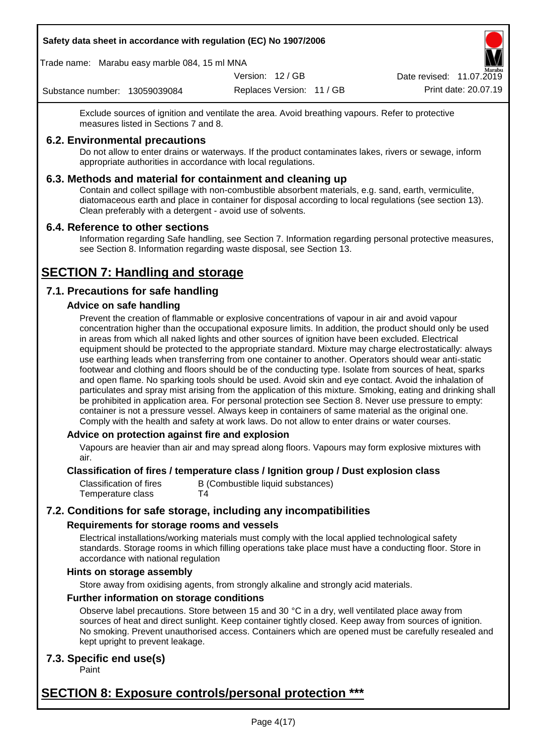Trade name: Marabu easy marble 084, 15 ml MNA

Version: 12 / GB

Replaces Version: 11 / GB Print date: 20.07.19 Date revised: 11.07.2019

Substance number: 13059039084

Exclude sources of ignition and ventilate the area. Avoid breathing vapours. Refer to protective measures listed in Sections 7 and 8.

## **6.2. Environmental precautions**

Do not allow to enter drains or waterways. If the product contaminates lakes, rivers or sewage, inform appropriate authorities in accordance with local regulations.

## **6.3. Methods and material for containment and cleaning up**

Contain and collect spillage with non-combustible absorbent materials, e.g. sand, earth, vermiculite, diatomaceous earth and place in container for disposal according to local regulations (see section 13). Clean preferably with a detergent - avoid use of solvents.

## **6.4. Reference to other sections**

Information regarding Safe handling, see Section 7. Information regarding personal protective measures, see Section 8. Information regarding waste disposal, see Section 13.

# **SECTION 7: Handling and storage**

## **7.1. Precautions for safe handling**

## **Advice on safe handling**

Prevent the creation of flammable or explosive concentrations of vapour in air and avoid vapour concentration higher than the occupational exposure limits. In addition, the product should only be used in areas from which all naked lights and other sources of ignition have been excluded. Electrical equipment should be protected to the appropriate standard. Mixture may charge electrostatically: always use earthing leads when transferring from one container to another. Operators should wear anti-static footwear and clothing and floors should be of the conducting type. Isolate from sources of heat, sparks and open flame. No sparking tools should be used. Avoid skin and eye contact. Avoid the inhalation of particulates and spray mist arising from the application of this mixture. Smoking, eating and drinking shall be prohibited in application area. For personal protection see Section 8. Never use pressure to empty: container is not a pressure vessel. Always keep in containers of same material as the original one. Comply with the health and safety at work laws. Do not allow to enter drains or water courses.

## **Advice on protection against fire and explosion**

Vapours are heavier than air and may spread along floors. Vapours may form explosive mixtures with air.

#### **Classification of fires / temperature class / Ignition group / Dust explosion class**

Classification of fires B (Combustible liquid substances) Temperature class T4

## **7.2. Conditions for safe storage, including any incompatibilities**

## **Requirements for storage rooms and vessels**

Electrical installations/working materials must comply with the local applied technological safety standards. Storage rooms in which filling operations take place must have a conducting floor. Store in accordance with national regulation

#### **Hints on storage assembly**

Store away from oxidising agents, from strongly alkaline and strongly acid materials.

#### **Further information on storage conditions**

Observe label precautions. Store between 15 and 30 °C in a dry, well ventilated place away from sources of heat and direct sunlight. Keep container tightly closed. Keep away from sources of ignition. No smoking. Prevent unauthorised access. Containers which are opened must be carefully resealed and kept upright to prevent leakage.

## **7.3. Specific end use(s)**

Paint

## **SECTION 8: Exposure controls/personal protection \*\*\***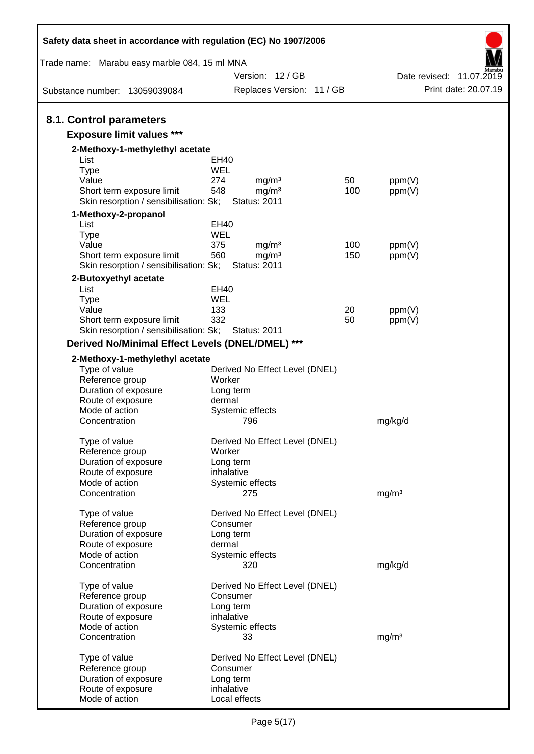| Safety data sheet in accordance with regulation (EC) No 1907/2006   |                                                 |     |                   |                          |
|---------------------------------------------------------------------|-------------------------------------------------|-----|-------------------|--------------------------|
| Trade name: Marabu easy marble 084, 15 ml MNA                       |                                                 |     |                   |                          |
|                                                                     | Version: 12 / GB                                |     |                   | Date revised: 11.07.2019 |
| Substance number: 13059039084                                       | Replaces Version: 11 / GB                       |     |                   | Print date: 20.07.19     |
| 8.1. Control parameters                                             |                                                 |     |                   |                          |
| <b>Exposure limit values ***</b>                                    |                                                 |     |                   |                          |
| 2-Methoxy-1-methylethyl acetate                                     |                                                 |     |                   |                          |
| List                                                                | EH40                                            |     |                   |                          |
| <b>Type</b>                                                         | WEL                                             |     |                   |                          |
| Value                                                               | mg/m <sup>3</sup><br>274                        | 50  | ppm(V)            |                          |
| Short term exposure limit<br>Skin resorption / sensibilisation: Sk; | 548<br>mg/m <sup>3</sup><br><b>Status: 2011</b> | 100 | ppm(V)            |                          |
| 1-Methoxy-2-propanol                                                |                                                 |     |                   |                          |
| List                                                                | EH40                                            |     |                   |                          |
| <b>Type</b><br>Value                                                | WEL<br>375<br>mg/m <sup>3</sup>                 | 100 | ppm(V)            |                          |
| Short term exposure limit                                           | 560<br>mg/m <sup>3</sup>                        | 150 | ppm(V)            |                          |
| Skin resorption / sensibilisation: Sk;                              | <b>Status: 2011</b>                             |     |                   |                          |
| 2-Butoxyethyl acetate                                               |                                                 |     |                   |                          |
| List                                                                | EH40                                            |     |                   |                          |
| <b>Type</b>                                                         | WEL                                             |     |                   |                          |
| Value                                                               | 133                                             | 20  | ppm(V)            |                          |
| Short term exposure limit                                           | 332                                             | 50  | ppm(V)            |                          |
| Skin resorption / sensibilisation: Sk;                              | <b>Status: 2011</b>                             |     |                   |                          |
| Derived No/Minimal Effect Levels (DNEL/DMEL) ***                    |                                                 |     |                   |                          |
| 2-Methoxy-1-methylethyl acetate                                     |                                                 |     |                   |                          |
| Type of value                                                       | Derived No Effect Level (DNEL)                  |     |                   |                          |
| Reference group                                                     | Worker                                          |     |                   |                          |
| Duration of exposure                                                | Long term                                       |     |                   |                          |
| Route of exposure<br>Mode of action                                 | dermal                                          |     |                   |                          |
| Concentration                                                       | Systemic effects<br>796                         |     | mg/kg/d           |                          |
|                                                                     |                                                 |     |                   |                          |
| Type of value                                                       | Derived No Effect Level (DNEL)                  |     |                   |                          |
| Reference group                                                     | Worker                                          |     |                   |                          |
| Duration of exposure                                                | Long term                                       |     |                   |                          |
| Route of exposure                                                   | inhalative                                      |     |                   |                          |
| Mode of action<br>Concentration                                     | Systemic effects<br>275                         |     | mg/m <sup>3</sup> |                          |
|                                                                     |                                                 |     |                   |                          |
| Type of value                                                       | Derived No Effect Level (DNEL)                  |     |                   |                          |
| Reference group                                                     | Consumer                                        |     |                   |                          |
| Duration of exposure                                                | Long term                                       |     |                   |                          |
| Route of exposure                                                   | dermal                                          |     |                   |                          |
| Mode of action                                                      | Systemic effects                                |     |                   |                          |
| Concentration                                                       | 320                                             |     | mg/kg/d           |                          |
| Type of value                                                       | Derived No Effect Level (DNEL)                  |     |                   |                          |
| Reference group                                                     | Consumer                                        |     |                   |                          |
| Duration of exposure                                                | Long term                                       |     |                   |                          |
| Route of exposure                                                   | inhalative                                      |     |                   |                          |
| Mode of action                                                      | Systemic effects                                |     |                   |                          |
| Concentration                                                       | 33                                              |     | mg/m <sup>3</sup> |                          |
|                                                                     |                                                 |     |                   |                          |
| Type of value<br>Reference group                                    | Derived No Effect Level (DNEL)<br>Consumer      |     |                   |                          |
| Duration of exposure                                                | Long term                                       |     |                   |                          |
| Route of exposure                                                   | inhalative                                      |     |                   |                          |
| Mode of action                                                      | Local effects                                   |     |                   |                          |
|                                                                     |                                                 |     |                   |                          |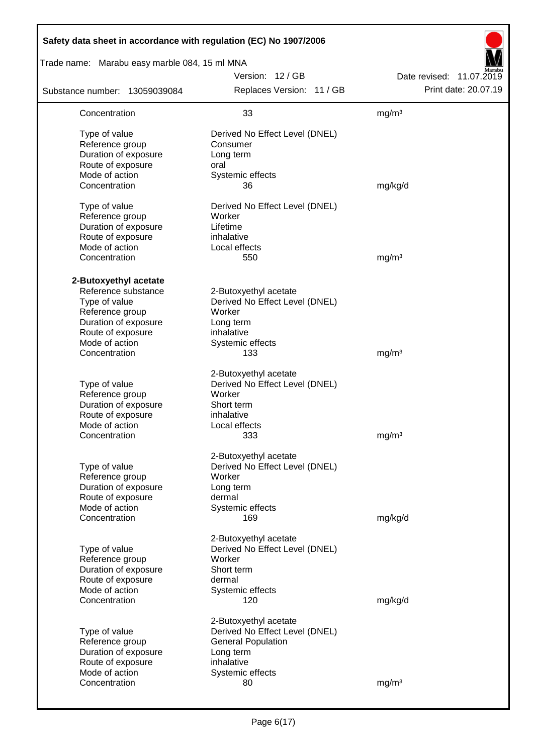| Safety data sheet in accordance with regulation (EC) No 1907/2006                                                                                                |                                                                                                                                           |                                                  |
|------------------------------------------------------------------------------------------------------------------------------------------------------------------|-------------------------------------------------------------------------------------------------------------------------------------------|--------------------------------------------------|
| Trade name: Marabu easy marble 084, 15 ml MNA                                                                                                                    |                                                                                                                                           |                                                  |
| Substance number: 13059039084                                                                                                                                    | Version: 12 / GB<br>Replaces Version: 11 / GB                                                                                             | Date revised: 11.07.2019<br>Print date: 20.07.19 |
| Concentration                                                                                                                                                    | 33                                                                                                                                        | mg/m <sup>3</sup>                                |
| Type of value<br>Reference group<br>Duration of exposure<br>Route of exposure<br>Mode of action<br>Concentration                                                 | Derived No Effect Level (DNEL)<br>Consumer<br>Long term<br>oral<br>Systemic effects<br>36                                                 | mg/kg/d                                          |
| Type of value<br>Reference group<br>Duration of exposure<br>Route of exposure<br>Mode of action<br>Concentration                                                 | Derived No Effect Level (DNEL)<br>Worker<br>Lifetime<br>inhalative<br>Local effects<br>550                                                | mg/m <sup>3</sup>                                |
| 2-Butoxyethyl acetate<br>Reference substance<br>Type of value<br>Reference group<br>Duration of exposure<br>Route of exposure<br>Mode of action<br>Concentration | 2-Butoxyethyl acetate<br>Derived No Effect Level (DNEL)<br>Worker<br>Long term<br>inhalative<br>Systemic effects<br>133                   | mg/m <sup>3</sup>                                |
| Type of value<br>Reference group<br>Duration of exposure<br>Route of exposure<br>Mode of action<br>Concentration                                                 | 2-Butoxyethyl acetate<br>Derived No Effect Level (DNEL)<br>Worker<br>Short term<br>inhalative<br>Local effects<br>333                     | mg/m <sup>3</sup>                                |
| Type of value<br>Reference group<br>Duration of exposure<br>Route of exposure<br>Mode of action<br>Concentration                                                 | 2-Butoxyethyl acetate<br>Derived No Effect Level (DNEL)<br>Worker<br>Long term<br>dermal<br>Systemic effects<br>169                       | mg/kg/d                                          |
| Type of value<br>Reference group<br>Duration of exposure<br>Route of exposure<br>Mode of action<br>Concentration                                                 | 2-Butoxyethyl acetate<br>Derived No Effect Level (DNEL)<br>Worker<br>Short term<br>dermal<br>Systemic effects<br>120                      | mg/kg/d                                          |
| Type of value<br>Reference group<br>Duration of exposure<br>Route of exposure<br>Mode of action<br>Concentration                                                 | 2-Butoxyethyl acetate<br>Derived No Effect Level (DNEL)<br><b>General Population</b><br>Long term<br>inhalative<br>Systemic effects<br>80 | mg/m <sup>3</sup>                                |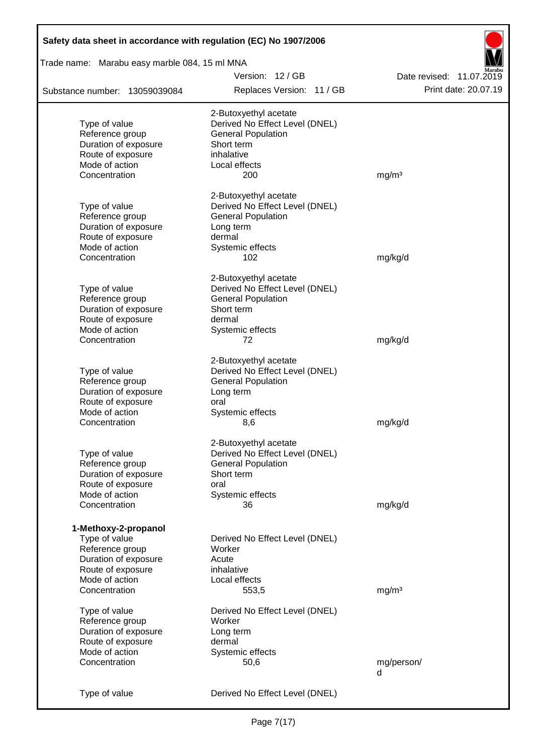| Safety data sheet in accordance with regulation (EC) No 1907/2006                                                                        |                                                                                                                                        |                          |  |  |
|------------------------------------------------------------------------------------------------------------------------------------------|----------------------------------------------------------------------------------------------------------------------------------------|--------------------------|--|--|
| Trade name: Marabu easy marble 084, 15 ml MNA                                                                                            |                                                                                                                                        |                          |  |  |
|                                                                                                                                          | Version: 12 / GB                                                                                                                       | Date revised: 11.07.2019 |  |  |
| Substance number: 13059039084                                                                                                            | Replaces Version: 11 / GB                                                                                                              | Print date: 20.07.19     |  |  |
| Type of value<br>Reference group<br>Duration of exposure<br>Route of exposure<br>Mode of action                                          | 2-Butoxyethyl acetate<br>Derived No Effect Level (DNEL)<br><b>General Population</b><br>Short term<br>inhalative<br>Local effects      |                          |  |  |
| Concentration                                                                                                                            | 200                                                                                                                                    | mg/m <sup>3</sup>        |  |  |
| Type of value<br>Reference group<br>Duration of exposure<br>Route of exposure<br>Mode of action                                          | 2-Butoxyethyl acetate<br>Derived No Effect Level (DNEL)<br><b>General Population</b><br>Long term<br>dermal<br>Systemic effects        |                          |  |  |
| Concentration                                                                                                                            | 102                                                                                                                                    | mg/kg/d                  |  |  |
| Type of value<br>Reference group<br>Duration of exposure<br>Route of exposure<br>Mode of action<br>Concentration                         | 2-Butoxyethyl acetate<br>Derived No Effect Level (DNEL)<br><b>General Population</b><br>Short term<br>dermal<br>Systemic effects<br>72 | mg/kg/d                  |  |  |
| Type of value<br>Reference group<br>Duration of exposure<br>Route of exposure<br>Mode of action<br>Concentration                         | 2-Butoxyethyl acetate<br>Derived No Effect Level (DNEL)<br><b>General Population</b><br>Long term<br>oral<br>Systemic effects<br>8,6   | mg/kg/d                  |  |  |
| Type of value<br>Reference group<br>Duration of exposure<br>Route of exposure<br>Mode of action<br>Concentration                         | 2-Butoxyethyl acetate<br>Derived No Effect Level (DNEL)<br><b>General Population</b><br>Short term<br>oral<br>Systemic effects<br>36   | mg/kg/d                  |  |  |
| 1-Methoxy-2-propanol<br>Type of value<br>Reference group<br>Duration of exposure<br>Route of exposure<br>Mode of action<br>Concentration | Derived No Effect Level (DNEL)<br>Worker<br>Acute<br>inhalative<br>Local effects<br>553,5                                              | mg/m <sup>3</sup>        |  |  |
| Type of value<br>Reference group<br>Duration of exposure<br>Route of exposure<br>Mode of action<br>Concentration                         | Derived No Effect Level (DNEL)<br>Worker<br>Long term<br>dermal<br>Systemic effects<br>50,6                                            | mg/person/<br>d          |  |  |
| Type of value                                                                                                                            | Derived No Effect Level (DNEL)                                                                                                         |                          |  |  |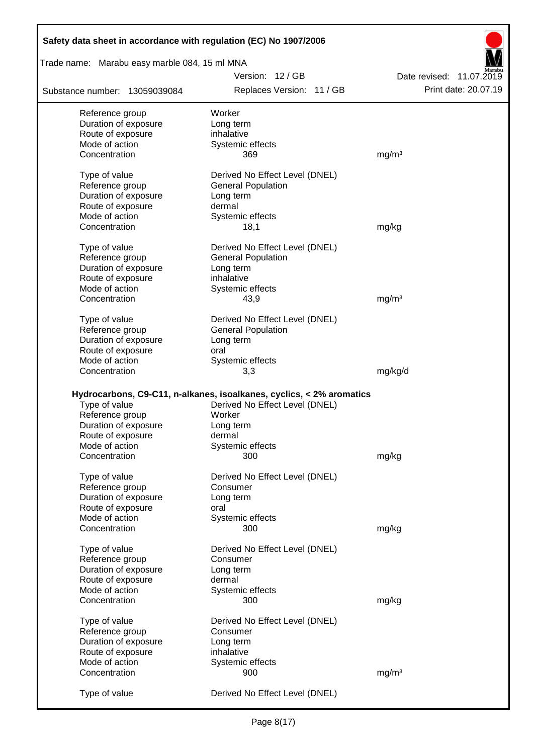| Safety data sheet in accordance with regulation (EC) No 1907/2006 |                                                                      |                          |
|-------------------------------------------------------------------|----------------------------------------------------------------------|--------------------------|
| Trade name: Marabu easy marble 084, 15 ml MNA                     |                                                                      |                          |
|                                                                   | Version: 12 / GB                                                     | Date revised: 11.07.2019 |
| Substance number: 13059039084                                     | Replaces Version: 11 / GB                                            | Print date: 20.07.19     |
| Reference group                                                   | Worker                                                               |                          |
| Duration of exposure                                              | Long term                                                            |                          |
| Route of exposure                                                 | inhalative                                                           |                          |
| Mode of action                                                    | Systemic effects                                                     |                          |
| Concentration                                                     | 369                                                                  | mg/m <sup>3</sup>        |
| Type of value                                                     | Derived No Effect Level (DNEL)                                       |                          |
| Reference group                                                   | <b>General Population</b>                                            |                          |
| Duration of exposure                                              | Long term                                                            |                          |
| Route of exposure                                                 | dermal                                                               |                          |
| Mode of action                                                    | Systemic effects                                                     |                          |
| Concentration                                                     | 18,1                                                                 | mg/kg                    |
| Type of value                                                     | Derived No Effect Level (DNEL)                                       |                          |
| Reference group                                                   | <b>General Population</b>                                            |                          |
| Duration of exposure                                              | Long term                                                            |                          |
| Route of exposure                                                 | inhalative                                                           |                          |
| Mode of action                                                    | Systemic effects                                                     |                          |
| Concentration                                                     | 43,9                                                                 | mg/m <sup>3</sup>        |
|                                                                   |                                                                      |                          |
| Type of value                                                     | Derived No Effect Level (DNEL)                                       |                          |
| Reference group                                                   | <b>General Population</b>                                            |                          |
| Duration of exposure                                              | Long term                                                            |                          |
| Route of exposure                                                 | oral                                                                 |                          |
| Mode of action                                                    | Systemic effects                                                     |                          |
| Concentration                                                     | 3,3                                                                  | mg/kg/d                  |
|                                                                   |                                                                      |                          |
|                                                                   | Hydrocarbons, C9-C11, n-alkanes, isoalkanes, cyclics, < 2% aromatics |                          |
| Type of value                                                     | Derived No Effect Level (DNEL)                                       |                          |
| Reference group                                                   | Worker                                                               |                          |
| Duration of exposure                                              | Long term                                                            |                          |
| Route of exposure                                                 | dermal                                                               |                          |
| Mode of action                                                    | Systemic effects                                                     |                          |
| Concentration                                                     | 300                                                                  | mg/kg                    |
| Type of value                                                     | Derived No Effect Level (DNEL)                                       |                          |
| Reference group                                                   | Consumer                                                             |                          |
| Duration of exposure                                              | Long term                                                            |                          |
| Route of exposure                                                 | oral                                                                 |                          |
| Mode of action                                                    | Systemic effects                                                     |                          |
| Concentration                                                     | 300                                                                  | mg/kg                    |
| Type of value                                                     | Derived No Effect Level (DNEL)                                       |                          |
| Reference group                                                   | Consumer                                                             |                          |
|                                                                   |                                                                      |                          |
| Duration of exposure                                              | Long term                                                            |                          |
| Route of exposure                                                 | dermal                                                               |                          |
| Mode of action                                                    | Systemic effects                                                     |                          |
| Concentration                                                     | 300                                                                  | mg/kg                    |
| Type of value                                                     | Derived No Effect Level (DNEL)                                       |                          |
| Reference group                                                   | Consumer                                                             |                          |
| Duration of exposure                                              | Long term                                                            |                          |
| Route of exposure                                                 | inhalative                                                           |                          |
| Mode of action                                                    | Systemic effects                                                     |                          |
| Concentration                                                     | 900                                                                  | mg/m <sup>3</sup>        |
| Type of value                                                     | Derived No Effect Level (DNEL)                                       |                          |

Г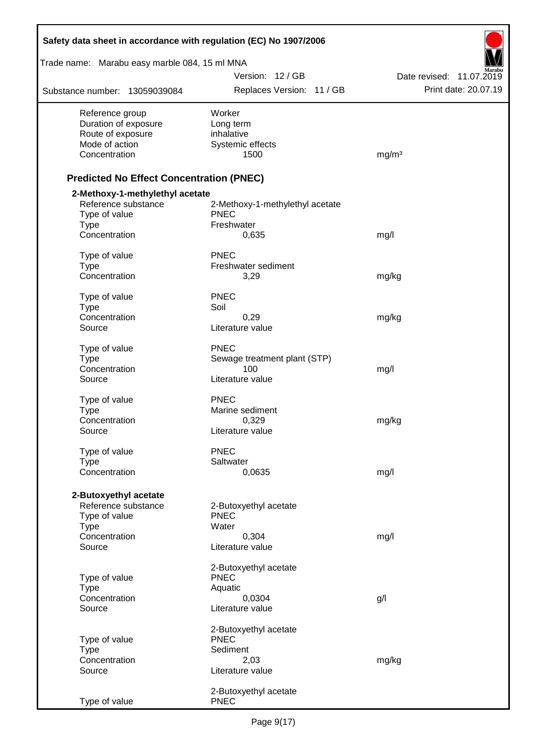| Safety data sheet in accordance with regulation (EC) No 1907/2006 |                                 |                          |
|-------------------------------------------------------------------|---------------------------------|--------------------------|
| Trade name: Marabu easy marble 084, 15 ml MNA                     |                                 |                          |
|                                                                   | Version: 12 / GB                | Date revised: 11.07.2019 |
| Substance number: 13059039084                                     | Replaces Version: 11 / GB       | Print date: 20.07.19     |
| Reference group                                                   | Worker                          |                          |
| Duration of exposure                                              | Long term                       |                          |
| Route of exposure<br>Mode of action                               | inhalative<br>Systemic effects  |                          |
| Concentration                                                     | 1500                            | mg/m <sup>3</sup>        |
| <b>Predicted No Effect Concentration (PNEC)</b>                   |                                 |                          |
| 2-Methoxy-1-methylethyl acetate                                   |                                 |                          |
| Reference substance                                               | 2-Methoxy-1-methylethyl acetate |                          |
| Type of value                                                     | <b>PNEC</b><br>Freshwater       |                          |
| <b>Type</b><br>Concentration                                      | 0,635                           | mg/l                     |
| Type of value                                                     | PNEC                            |                          |
| <b>Type</b>                                                       | Freshwater sediment             |                          |
| Concentration                                                     | 3,29                            | mg/kg                    |
| Type of value                                                     | <b>PNEC</b>                     |                          |
| <b>Type</b><br>Concentration                                      | Soil<br>0,29                    | mg/kg                    |
| Source                                                            | Literature value                |                          |
| Type of value                                                     | <b>PNEC</b>                     |                          |
| <b>Type</b>                                                       | Sewage treatment plant (STP)    |                          |
| Concentration                                                     | 100                             | mg/l                     |
| Source                                                            | Literature value                |                          |
| Type of value                                                     | <b>PNEC</b>                     |                          |
| <b>Type</b>                                                       | Marine sediment                 |                          |
| Concentration<br>Source                                           | 0,329<br>Literature value       | mg/kg                    |
|                                                                   | <b>PNEC</b>                     |                          |
| Type of value<br><b>Type</b>                                      | Saltwater                       |                          |
| Concentration                                                     | 0,0635                          | mg/l                     |
| 2-Butoxyethyl acetate                                             |                                 |                          |
| Reference substance                                               | 2-Butoxyethyl acetate           |                          |
| Type of value                                                     | <b>PNEC</b>                     |                          |
| <b>Type</b>                                                       | Water                           |                          |
| Concentration<br>Source                                           | 0,304<br>Literature value       | mg/l                     |
|                                                                   | 2-Butoxyethyl acetate           |                          |
| Type of value                                                     | <b>PNEC</b>                     |                          |
| <b>Type</b>                                                       | Aquatic                         |                          |
| Concentration                                                     | 0,0304                          | g/l                      |
| Source                                                            | Literature value                |                          |
|                                                                   | 2-Butoxyethyl acetate           |                          |
| Type of value<br><b>Type</b>                                      | <b>PNEC</b><br>Sediment         |                          |
| Concentration                                                     | 2,03                            | mg/kg                    |
| Source                                                            | Literature value                |                          |
|                                                                   | 2-Butoxyethyl acetate           |                          |
| Type of value                                                     | <b>PNEC</b>                     |                          |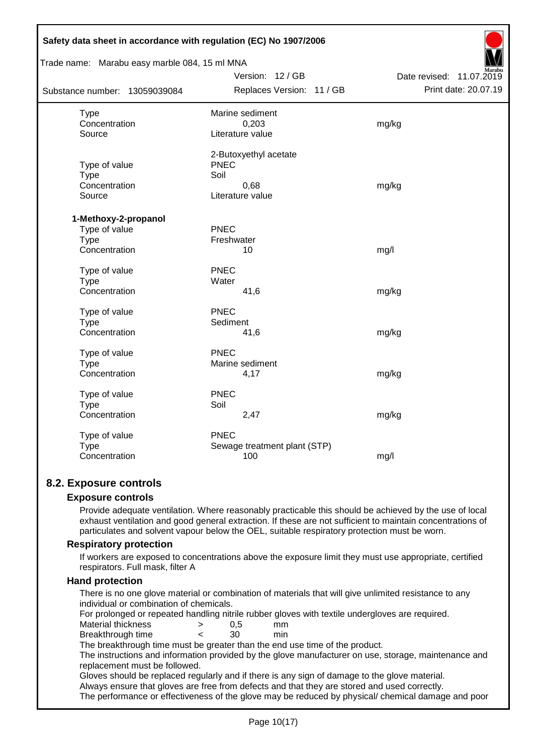| Safety data sheet in accordance with regulation (EC) No 1907/2006 |                              |                          |
|-------------------------------------------------------------------|------------------------------|--------------------------|
| Trade name: Marabu easy marble 084, 15 ml MNA                     |                              |                          |
|                                                                   | Version: 12 / GB             | Date revised: 11.07.2019 |
| Substance number: 13059039084                                     | Replaces Version: 11 / GB    | Print date: 20.07.19     |
| <b>Type</b>                                                       | Marine sediment              |                          |
| Concentration                                                     | 0,203                        | mg/kg                    |
| Source                                                            | Literature value             |                          |
|                                                                   | 2-Butoxyethyl acetate        |                          |
| Type of value                                                     | <b>PNEC</b>                  |                          |
| Type                                                              | Soil                         |                          |
| Concentration                                                     | 0,68                         | mg/kg                    |
| Source                                                            | Literature value             |                          |
| 1-Methoxy-2-propanol                                              |                              |                          |
| Type of value                                                     | <b>PNEC</b>                  |                          |
| <b>Type</b>                                                       | Freshwater                   |                          |
| Concentration                                                     | 10                           | mg/l                     |
| Type of value                                                     | <b>PNEC</b>                  |                          |
| <b>Type</b>                                                       | Water                        |                          |
| Concentration                                                     | 41,6                         | mg/kg                    |
| Type of value                                                     | <b>PNEC</b>                  |                          |
| Type                                                              | Sediment                     |                          |
| Concentration                                                     | 41,6                         | mg/kg                    |
| Type of value                                                     | <b>PNEC</b>                  |                          |
| Type                                                              | Marine sediment              |                          |
| Concentration                                                     | 4,17                         | mg/kg                    |
| Type of value                                                     | <b>PNEC</b>                  |                          |
| <b>Type</b>                                                       | Soil                         |                          |
| Concentration                                                     | 2,47                         | mg/kg                    |
| Type of value                                                     | <b>PNEC</b>                  |                          |
| Type                                                              | Sewage treatment plant (STP) |                          |
| Concentration                                                     | 100                          | mg/l                     |
|                                                                   |                              |                          |

## **8.2. Exposure controls**

#### **Exposure controls**

Provide adequate ventilation. Where reasonably practicable this should be achieved by the use of local exhaust ventilation and good general extraction. If these are not sufficient to maintain concentrations of particulates and solvent vapour below the OEL, suitable respiratory protection must be worn.

#### **Respiratory protection**

If workers are exposed to concentrations above the exposure limit they must use appropriate, certified respirators. Full mask, filter A

#### **Hand protection**

There is no one glove material or combination of materials that will give unlimited resistance to any individual or combination of chemicals.

For prolonged or repeated handling nitrile rubber gloves with textile undergloves are required.

Material thickness  $\rightarrow$  0,5 mm

Breakthrough time < 30 min

The breakthrough time must be greater than the end use time of the product.

The instructions and information provided by the glove manufacturer on use, storage, maintenance and replacement must be followed.

Gloves should be replaced regularly and if there is any sign of damage to the glove material.

Always ensure that gloves are free from defects and that they are stored and used correctly.

The performance or effectiveness of the glove may be reduced by physical/ chemical damage and poor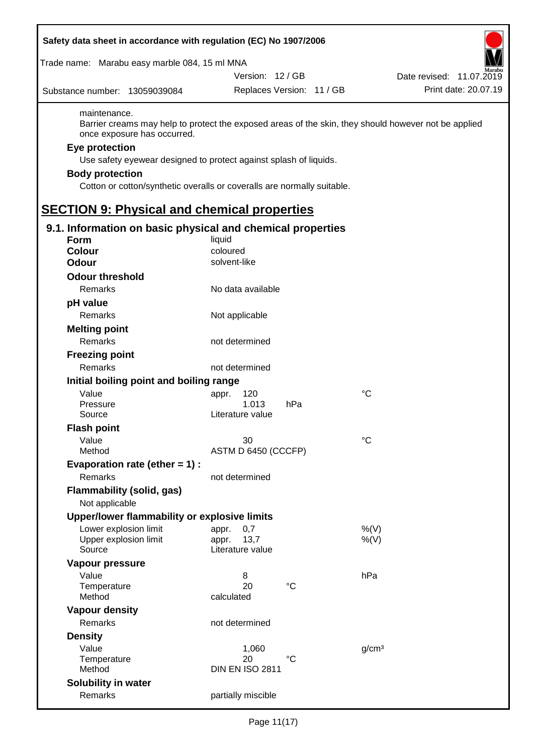| Safety data sheet in accordance with regulation (EC) No 1907/2006                                                                                                                                                                       |                              |                           |                                                                                                      |
|-----------------------------------------------------------------------------------------------------------------------------------------------------------------------------------------------------------------------------------------|------------------------------|---------------------------|------------------------------------------------------------------------------------------------------|
| Trade name: Marabu easy marble 084, 15 ml MNA                                                                                                                                                                                           |                              |                           |                                                                                                      |
|                                                                                                                                                                                                                                         | Version: 12 / GB             |                           | Date revised: 11.07.2019                                                                             |
| Substance number: 13059039084                                                                                                                                                                                                           |                              | Replaces Version: 11 / GB | Print date: 20.07.19                                                                                 |
| maintenance.<br>once exposure has occurred.<br>Eye protection<br>Use safety eyewear designed to protect against splash of liquids.<br><b>Body protection</b><br>Cotton or cotton/synthetic overalls or coveralls are normally suitable. |                              |                           | Barrier creams may help to protect the exposed areas of the skin, they should however not be applied |
| <b>SECTION 9: Physical and chemical properties</b>                                                                                                                                                                                      |                              |                           |                                                                                                      |
| 9.1. Information on basic physical and chemical properties                                                                                                                                                                              |                              |                           |                                                                                                      |
| <b>Form</b>                                                                                                                                                                                                                             | liquid                       |                           |                                                                                                      |
| <b>Colour</b>                                                                                                                                                                                                                           | coloured                     |                           |                                                                                                      |
| <b>Odour</b>                                                                                                                                                                                                                            | solvent-like                 |                           |                                                                                                      |
| <b>Odour threshold</b>                                                                                                                                                                                                                  |                              |                           |                                                                                                      |
| Remarks                                                                                                                                                                                                                                 | No data available            |                           |                                                                                                      |
| pH value                                                                                                                                                                                                                                |                              |                           |                                                                                                      |
| Remarks                                                                                                                                                                                                                                 | Not applicable               |                           |                                                                                                      |
| <b>Melting point</b>                                                                                                                                                                                                                    |                              |                           |                                                                                                      |
| Remarks                                                                                                                                                                                                                                 | not determined               |                           |                                                                                                      |
| <b>Freezing point</b>                                                                                                                                                                                                                   |                              |                           |                                                                                                      |
| Remarks                                                                                                                                                                                                                                 | not determined               |                           |                                                                                                      |
|                                                                                                                                                                                                                                         |                              |                           |                                                                                                      |
| Initial boiling point and boiling range<br>Value                                                                                                                                                                                        |                              |                           | $^{\circ}C$                                                                                          |
| Pressure                                                                                                                                                                                                                                | 120<br>appr.<br>1.013        | hPa                       |                                                                                                      |
| Source                                                                                                                                                                                                                                  | Literature value             |                           |                                                                                                      |
| <b>Flash point</b>                                                                                                                                                                                                                      |                              |                           |                                                                                                      |
| Value                                                                                                                                                                                                                                   | 30                           |                           | $^{\circ}C$                                                                                          |
| Method                                                                                                                                                                                                                                  | ASTM D 6450 (CCCFP)          |                           |                                                                                                      |
| Evaporation rate (ether $= 1$ ) :                                                                                                                                                                                                       |                              |                           |                                                                                                      |
| Remarks                                                                                                                                                                                                                                 | not determined               |                           |                                                                                                      |
| <b>Flammability (solid, gas)</b>                                                                                                                                                                                                        |                              |                           |                                                                                                      |
| Not applicable                                                                                                                                                                                                                          |                              |                           |                                                                                                      |
| Upper/lower flammability or explosive limits                                                                                                                                                                                            |                              |                           |                                                                                                      |
| Lower explosion limit                                                                                                                                                                                                                   | 0,7<br>appr.                 |                           | %(V)                                                                                                 |
| Upper explosion limit                                                                                                                                                                                                                   | 13,7<br>appr.                |                           | $%$ (V)                                                                                              |
| Source                                                                                                                                                                                                                                  | Literature value             |                           |                                                                                                      |
| Vapour pressure                                                                                                                                                                                                                         |                              |                           |                                                                                                      |
| Value                                                                                                                                                                                                                                   | 8                            |                           | hPa                                                                                                  |
| Temperature                                                                                                                                                                                                                             | 20                           | $^{\circ}C$               |                                                                                                      |
| Method                                                                                                                                                                                                                                  | calculated                   |                           |                                                                                                      |
| <b>Vapour density</b>                                                                                                                                                                                                                   |                              |                           |                                                                                                      |
| Remarks                                                                                                                                                                                                                                 | not determined               |                           |                                                                                                      |
| <b>Density</b>                                                                                                                                                                                                                          |                              |                           |                                                                                                      |
| Value                                                                                                                                                                                                                                   | 1,060                        |                           | g/cm <sup>3</sup>                                                                                    |
| Temperature<br>Method                                                                                                                                                                                                                   | 20<br><b>DIN EN ISO 2811</b> | °C                        |                                                                                                      |
|                                                                                                                                                                                                                                         |                              |                           |                                                                                                      |
| Solubility in water<br>Remarks                                                                                                                                                                                                          | partially miscible           |                           |                                                                                                      |
|                                                                                                                                                                                                                                         |                              |                           |                                                                                                      |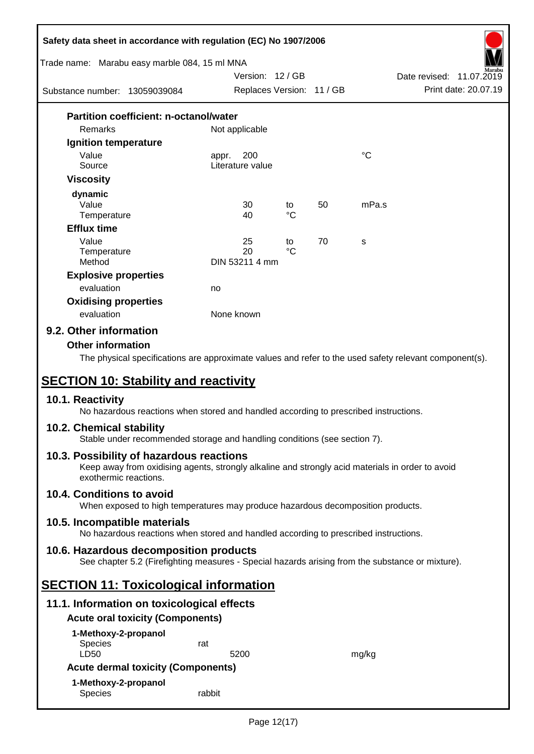| Safety data sheet in accordance with regulation (EC) No 1907/2006                                                                                                                   |                           |             |    |                 |                          |
|-------------------------------------------------------------------------------------------------------------------------------------------------------------------------------------|---------------------------|-------------|----|-----------------|--------------------------|
| Trade name: Marabu easy marble 084, 15 ml MNA                                                                                                                                       | Version: 12/GB            |             |    |                 | Date revised: 11.07.2019 |
| Substance number: 13059039084                                                                                                                                                       | Replaces Version: 11 / GB |             |    |                 | Print date: 20.07.19     |
|                                                                                                                                                                                     |                           |             |    |                 |                          |
| <b>Partition coefficient: n-octanol/water</b><br>Remarks                                                                                                                            | Not applicable            |             |    |                 |                          |
| Ignition temperature                                                                                                                                                                |                           |             |    |                 |                          |
| Value                                                                                                                                                                               | 200<br>appr.              |             |    | $\rm ^{\circ}C$ |                          |
| Source                                                                                                                                                                              | Literature value          |             |    |                 |                          |
| <b>Viscosity</b>                                                                                                                                                                    |                           |             |    |                 |                          |
| dynamic                                                                                                                                                                             |                           |             |    |                 |                          |
| Value                                                                                                                                                                               | 30                        | to          | 50 | mPa.s           |                          |
| Temperature                                                                                                                                                                         | 40                        | $^{\circ}C$ |    |                 |                          |
| <b>Efflux time</b>                                                                                                                                                                  |                           |             |    |                 |                          |
| Value                                                                                                                                                                               | 25                        | to          | 70 | S               |                          |
| Temperature<br>Method                                                                                                                                                               | 20<br>DIN 53211 4 mm      | $^{\circ}C$ |    |                 |                          |
|                                                                                                                                                                                     |                           |             |    |                 |                          |
| <b>Explosive properties</b><br>evaluation                                                                                                                                           |                           |             |    |                 |                          |
|                                                                                                                                                                                     | no                        |             |    |                 |                          |
| <b>Oxidising properties</b><br>evaluation                                                                                                                                           | None known                |             |    |                 |                          |
|                                                                                                                                                                                     |                           |             |    |                 |                          |
| 9.2. Other information                                                                                                                                                              |                           |             |    |                 |                          |
| <b>SECTION 10: Stability and reactivity</b><br>10.1. Reactivity<br>No hazardous reactions when stored and handled according to prescribed instructions.<br>10.2. Chemical stability |                           |             |    |                 |                          |
| Stable under recommended storage and handling conditions (see section 7).                                                                                                           |                           |             |    |                 |                          |
| 10.3. Possibility of hazardous reactions<br>Keep away from oxidising agents, strongly alkaline and strongly acid materials in order to avoid<br>exothermic reactions.               |                           |             |    |                 |                          |
| 10.4. Conditions to avoid<br>When exposed to high temperatures may produce hazardous decomposition products.                                                                        |                           |             |    |                 |                          |
| 10.5. Incompatible materials<br>No hazardous reactions when stored and handled according to prescribed instructions.                                                                |                           |             |    |                 |                          |
| 10.6. Hazardous decomposition products<br>See chapter 5.2 (Firefighting measures - Special hazards arising from the substance or mixture).                                          |                           |             |    |                 |                          |
| <b>SECTION 11: Toxicological information</b>                                                                                                                                        |                           |             |    |                 |                          |
| 11.1. Information on toxicological effects                                                                                                                                          |                           |             |    |                 |                          |
| <b>Acute oral toxicity (Components)</b>                                                                                                                                             |                           |             |    |                 |                          |
| 1-Methoxy-2-propanol                                                                                                                                                                |                           |             |    |                 |                          |
| <b>Species</b><br>LD50                                                                                                                                                              | rat<br>5200               |             |    | mg/kg           |                          |
| <b>Acute dermal toxicity (Components)</b>                                                                                                                                           |                           |             |    |                 |                          |
| 1-Methoxy-2-propanol                                                                                                                                                                |                           |             |    |                 |                          |
| Species                                                                                                                                                                             | rabbit                    |             |    |                 |                          |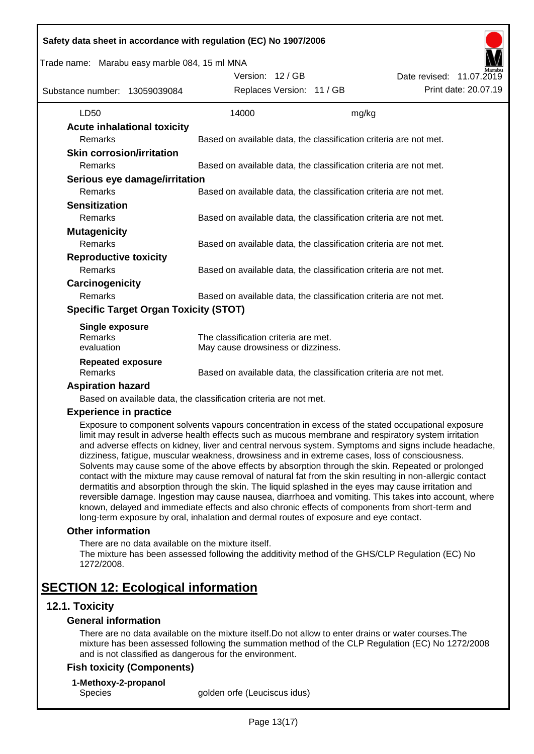|                                              | Trade name: Marabu easy marble 084, 15 ml MNA<br>Version: 12 / GB                                  |       | Date revised: 11.07.2019 |
|----------------------------------------------|----------------------------------------------------------------------------------------------------|-------|--------------------------|
| Substance number: 13059039084                | Replaces Version: 11 / GB                                                                          |       | Print date: 20.07.19     |
| LD50                                         | 14000                                                                                              | mg/kg |                          |
| <b>Acute inhalational toxicity</b>           |                                                                                                    |       |                          |
| Remarks                                      | Based on available data, the classification criteria are not met.                                  |       |                          |
| <b>Skin corrosion/irritation</b>             |                                                                                                    |       |                          |
| Remarks                                      | Based on available data, the classification criteria are not met.                                  |       |                          |
| Serious eye damage/irritation                |                                                                                                    |       |                          |
| Remarks                                      | Based on available data, the classification criteria are not met.                                  |       |                          |
| <b>Sensitization</b>                         |                                                                                                    |       |                          |
| Remarks                                      | Based on available data, the classification criteria are not met.                                  |       |                          |
| <b>Mutagenicity</b>                          |                                                                                                    |       |                          |
| Remarks                                      | Based on available data, the classification criteria are not met.                                  |       |                          |
| <b>Reproductive toxicity</b>                 |                                                                                                    |       |                          |
| Remarks                                      | Based on available data, the classification criteria are not met.                                  |       |                          |
| Carcinogenicity                              |                                                                                                    |       |                          |
| Remarks                                      | Based on available data, the classification criteria are not met.                                  |       |                          |
| <b>Specific Target Organ Toxicity (STOT)</b> |                                                                                                    |       |                          |
| <b>Single exposure</b>                       |                                                                                                    |       |                          |
| Remarks                                      | The classification criteria are met.                                                               |       |                          |
| evaluation                                   | May cause drowsiness or dizziness.                                                                 |       |                          |
| <b>Repeated exposure</b>                     |                                                                                                    |       |                          |
| Remarks                                      | Based on available data, the classification criteria are not met.                                  |       |                          |
| <b>Aspiration hazard</b>                     |                                                                                                    |       |                          |
|                                              | Based on available data, the classification criteria are not met.                                  |       |                          |
| <b>Experience in practice</b>                | Exposure to component solvents vapours concentration in excess of the stated occupational exposure |       |                          |

dermatitis and absorption through the skin. The liquid splashed in the eyes may cause irritation and reversible damage. Ingestion may cause nausea, diarrhoea and vomiting. This takes into account, where known, delayed and immediate effects and also chronic effects of components from short-term and long-term exposure by oral, inhalation and dermal routes of exposure and eye contact.

contact with the mixture may cause removal of natural fat from the skin resulting in non-allergic contact

#### **Other information**

There are no data available on the mixture itself. The mixture has been assessed following the additivity method of the GHS/CLP Regulation (EC) No 1272/2008.

## **SECTION 12: Ecological information**

## **12.1. Toxicity**

#### **General information**

There are no data available on the mixture itself.Do not allow to enter drains or water courses.The mixture has been assessed following the summation method of the CLP Regulation (EC) No 1272/2008 and is not classified as dangerous for the environment.

#### **Fish toxicity (Components)**

**1-Methoxy-2-propanol**

Species golden orfe (Leuciscus idus)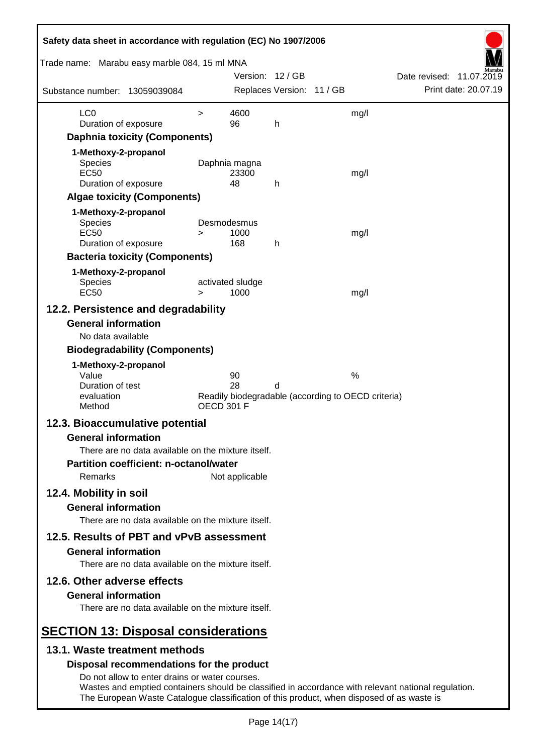| Safety data sheet in accordance with regulation (EC) No 1907/2006                                                                                                                                                                                  |                   |                          |                           |                                                    |                          |
|----------------------------------------------------------------------------------------------------------------------------------------------------------------------------------------------------------------------------------------------------|-------------------|--------------------------|---------------------------|----------------------------------------------------|--------------------------|
| Trade name: Marabu easy marble 084, 15 ml MNA                                                                                                                                                                                                      |                   | Version: 12 / GB         |                           |                                                    | Date revised: 11.07.2019 |
| Substance number: 13059039084                                                                                                                                                                                                                      |                   |                          | Replaces Version: 11 / GB |                                                    | Print date: 20.07.19     |
| LC <sub>0</sub>                                                                                                                                                                                                                                    | $\geq$            | 4600                     |                           | mg/l                                               |                          |
| Duration of exposure                                                                                                                                                                                                                               |                   | 96                       | h                         |                                                    |                          |
| <b>Daphnia toxicity (Components)</b>                                                                                                                                                                                                               |                   |                          |                           |                                                    |                          |
| 1-Methoxy-2-propanol                                                                                                                                                                                                                               |                   |                          |                           |                                                    |                          |
| Species                                                                                                                                                                                                                                            |                   | Daphnia magna            |                           |                                                    |                          |
| <b>EC50</b><br>Duration of exposure                                                                                                                                                                                                                |                   | 23300<br>48              | h                         | mg/l                                               |                          |
| <b>Algae toxicity (Components)</b>                                                                                                                                                                                                                 |                   |                          |                           |                                                    |                          |
| 1-Methoxy-2-propanol                                                                                                                                                                                                                               |                   |                          |                           |                                                    |                          |
| <b>Species</b>                                                                                                                                                                                                                                     |                   | Desmodesmus              |                           |                                                    |                          |
| <b>EC50</b>                                                                                                                                                                                                                                        | >                 | 1000                     |                           | mg/l                                               |                          |
| Duration of exposure                                                                                                                                                                                                                               |                   | 168                      | h                         |                                                    |                          |
| <b>Bacteria toxicity (Components)</b>                                                                                                                                                                                                              |                   |                          |                           |                                                    |                          |
| 1-Methoxy-2-propanol                                                                                                                                                                                                                               |                   |                          |                           |                                                    |                          |
| <b>Species</b><br><b>EC50</b>                                                                                                                                                                                                                      | $\geq$            | activated sludge<br>1000 |                           | mg/l                                               |                          |
| 12.2. Persistence and degradability                                                                                                                                                                                                                |                   |                          |                           |                                                    |                          |
| <b>General information</b>                                                                                                                                                                                                                         |                   |                          |                           |                                                    |                          |
| No data available                                                                                                                                                                                                                                  |                   |                          |                           |                                                    |                          |
| <b>Biodegradability (Components)</b>                                                                                                                                                                                                               |                   |                          |                           |                                                    |                          |
| 1-Methoxy-2-propanol                                                                                                                                                                                                                               |                   |                          |                           |                                                    |                          |
| Value                                                                                                                                                                                                                                              |                   | 90                       |                           | $\%$                                               |                          |
| Duration of test                                                                                                                                                                                                                                   |                   | 28                       | d                         |                                                    |                          |
| evaluation<br>Method                                                                                                                                                                                                                               | <b>OECD 301 F</b> |                          |                           | Readily biodegradable (according to OECD criteria) |                          |
| 12.3. Bioaccumulative potential                                                                                                                                                                                                                    |                   |                          |                           |                                                    |                          |
| <b>General information</b>                                                                                                                                                                                                                         |                   |                          |                           |                                                    |                          |
| There are no data available on the mixture itself.                                                                                                                                                                                                 |                   |                          |                           |                                                    |                          |
| <b>Partition coefficient: n-octanol/water</b>                                                                                                                                                                                                      |                   |                          |                           |                                                    |                          |
| <b>Remarks</b><br>Not applicable                                                                                                                                                                                                                   |                   |                          |                           |                                                    |                          |
| 12.4. Mobility in soil                                                                                                                                                                                                                             |                   |                          |                           |                                                    |                          |
| <b>General information</b>                                                                                                                                                                                                                         |                   |                          |                           |                                                    |                          |
| There are no data available on the mixture itself.                                                                                                                                                                                                 |                   |                          |                           |                                                    |                          |
| 12.5. Results of PBT and vPvB assessment                                                                                                                                                                                                           |                   |                          |                           |                                                    |                          |
|                                                                                                                                                                                                                                                    |                   |                          |                           |                                                    |                          |
| <b>General information</b><br>There are no data available on the mixture itself.                                                                                                                                                                   |                   |                          |                           |                                                    |                          |
| 12.6. Other adverse effects                                                                                                                                                                                                                        |                   |                          |                           |                                                    |                          |
| <b>General information</b><br>There are no data available on the mixture itself.                                                                                                                                                                   |                   |                          |                           |                                                    |                          |
|                                                                                                                                                                                                                                                    |                   |                          |                           |                                                    |                          |
| <b>SECTION 13: Disposal considerations</b><br>13.1. Waste treatment methods                                                                                                                                                                        |                   |                          |                           |                                                    |                          |
|                                                                                                                                                                                                                                                    |                   |                          |                           |                                                    |                          |
| Disposal recommendations for the product                                                                                                                                                                                                           |                   |                          |                           |                                                    |                          |
| Do not allow to enter drains or water courses.<br>Wastes and emptied containers should be classified in accordance with relevant national regulation.<br>The European Waste Catalogue classification of this product, when disposed of as waste is |                   |                          |                           |                                                    |                          |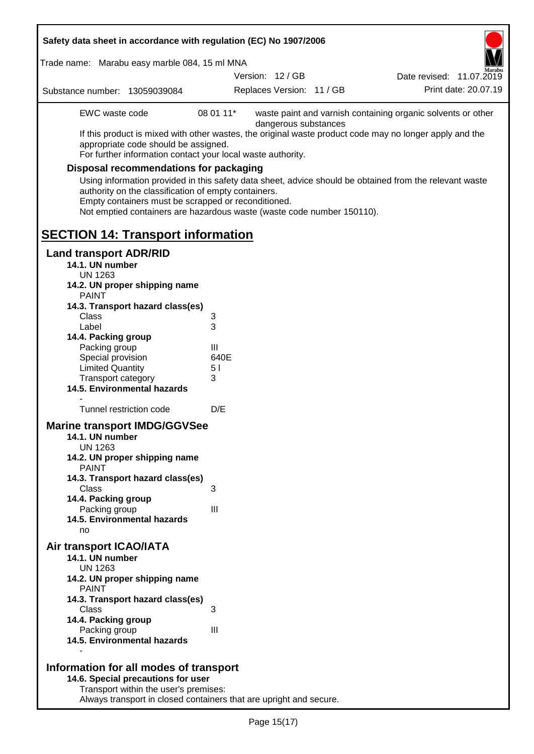| Safety data sheet in accordance with regulation (EC) No 1907/2006                                                                                                                                                                                                                                                                                                                                                                                                                                                                                                                     |                                        |                           |  |                                                              |
|---------------------------------------------------------------------------------------------------------------------------------------------------------------------------------------------------------------------------------------------------------------------------------------------------------------------------------------------------------------------------------------------------------------------------------------------------------------------------------------------------------------------------------------------------------------------------------------|----------------------------------------|---------------------------|--|--------------------------------------------------------------|
| Trade name: Marabu easy marble 084, 15 ml MNA                                                                                                                                                                                                                                                                                                                                                                                                                                                                                                                                         |                                        | Version: 12 / GB          |  | Date revised: 11.07.2019                                     |
| Substance number: 13059039084                                                                                                                                                                                                                                                                                                                                                                                                                                                                                                                                                         |                                        | Replaces Version: 11 / GB |  | Print date: 20.07.19                                         |
| EWC waste code<br>If this product is mixed with other wastes, the original waste product code may no longer apply and the<br>appropriate code should be assigned.<br>For further information contact your local waste authority.<br><b>Disposal recommendations for packaging</b><br>Using information provided in this safety data sheet, advice should be obtained from the relevant waste<br>authority on the classification of empty containers.<br>Empty containers must be scrapped or reconditioned.<br>Not emptied containers are hazardous waste (waste code number 150110). | 08 01 11*                              | dangerous substances      |  | waste paint and varnish containing organic solvents or other |
| <b>SECTION 14: Transport information</b>                                                                                                                                                                                                                                                                                                                                                                                                                                                                                                                                              |                                        |                           |  |                                                              |
| <b>Land transport ADR/RID</b><br>14.1. UN number<br><b>UN 1263</b><br>14.2. UN proper shipping name<br><b>PAINT</b><br>14.3. Transport hazard class(es)<br>Class<br>Label<br>14.4. Packing group<br>Packing group<br>Special provision<br><b>Limited Quantity</b><br>Transport category<br>14.5. Environmental hazards<br>Tunnel restriction code<br><b>Marine transport IMDG/GGVSee</b><br>14.1. UN number<br><b>UN 1263</b><br>14.2. UN proper shipping name                                                                                                                        | 3<br>3<br>Ш<br>640E<br>5 I<br>3<br>D/E |                           |  |                                                              |
| <b>PAINT</b><br>14.3. Transport hazard class(es)<br>Class<br>14.4. Packing group<br>Packing group<br>14.5. Environmental hazards<br>no                                                                                                                                                                                                                                                                                                                                                                                                                                                | 3<br>III                               |                           |  |                                                              |
| Air transport ICAO/IATA<br>14.1. UN number<br><b>UN 1263</b><br>14.2. UN proper shipping name<br><b>PAINT</b><br>14.3. Transport hazard class(es)<br>Class<br>14.4. Packing group<br>Packing group                                                                                                                                                                                                                                                                                                                                                                                    | 3<br>III                               |                           |  |                                                              |
| 14.5. Environmental hazards<br>Information for all modes of transport<br>14.6. Special precautions for user<br>Transport within the user's premises:                                                                                                                                                                                                                                                                                                                                                                                                                                  |                                        |                           |  |                                                              |

Always transport in closed containers that are upright and secure.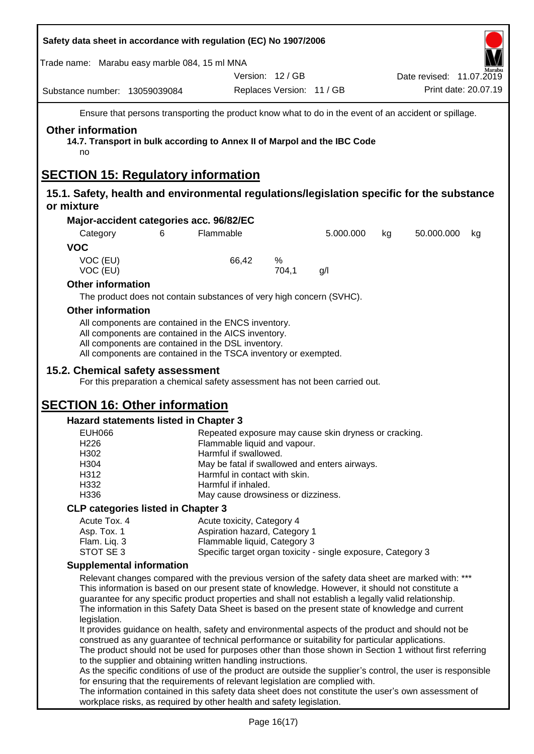| Safety data sheet in accordance with regulation (EC) No 1907/2006                                          |                                                                                                                                                                                                                                     |                                                                        |                           |                                                                                                 |                                                                                                                                                                                                                                                                                                                                                                                                                  |  |
|------------------------------------------------------------------------------------------------------------|-------------------------------------------------------------------------------------------------------------------------------------------------------------------------------------------------------------------------------------|------------------------------------------------------------------------|---------------------------|-------------------------------------------------------------------------------------------------|------------------------------------------------------------------------------------------------------------------------------------------------------------------------------------------------------------------------------------------------------------------------------------------------------------------------------------------------------------------------------------------------------------------|--|
| Trade name: Marabu easy marble 084, 15 ml MNA                                                              |                                                                                                                                                                                                                                     |                                                                        |                           |                                                                                                 |                                                                                                                                                                                                                                                                                                                                                                                                                  |  |
|                                                                                                            |                                                                                                                                                                                                                                     |                                                                        | Version: 12 / GB          |                                                                                                 | Date revised: 11.07.2019<br>Print date: 20.07.19                                                                                                                                                                                                                                                                                                                                                                 |  |
| Substance number: 13059039084                                                                              |                                                                                                                                                                                                                                     |                                                                        | Replaces Version: 11 / GB |                                                                                                 |                                                                                                                                                                                                                                                                                                                                                                                                                  |  |
|                                                                                                            |                                                                                                                                                                                                                                     |                                                                        |                           |                                                                                                 | Ensure that persons transporting the product know what to do in the event of an accident or spillage.                                                                                                                                                                                                                                                                                                            |  |
| <b>Other information</b><br>14.7. Transport in bulk according to Annex II of Marpol and the IBC Code<br>no |                                                                                                                                                                                                                                     |                                                                        |                           |                                                                                                 |                                                                                                                                                                                                                                                                                                                                                                                                                  |  |
| <b>SECTION 15: Regulatory information</b>                                                                  |                                                                                                                                                                                                                                     |                                                                        |                           |                                                                                                 |                                                                                                                                                                                                                                                                                                                                                                                                                  |  |
| or mixture                                                                                                 |                                                                                                                                                                                                                                     |                                                                        |                           |                                                                                                 | 15.1. Safety, health and environmental regulations/legislation specific for the substance                                                                                                                                                                                                                                                                                                                        |  |
| Major-accident categories acc. 96/82/EC                                                                    |                                                                                                                                                                                                                                     |                                                                        |                           |                                                                                                 |                                                                                                                                                                                                                                                                                                                                                                                                                  |  |
| Category<br><b>VOC</b>                                                                                     | 6                                                                                                                                                                                                                                   | Flammable                                                              |                           | 5.000.000                                                                                       | 50.000.000<br>kg<br>kg                                                                                                                                                                                                                                                                                                                                                                                           |  |
| VOC (EU)<br>VOC (EU)                                                                                       |                                                                                                                                                                                                                                     | 66,42                                                                  | %<br>704,1                | g/l                                                                                             |                                                                                                                                                                                                                                                                                                                                                                                                                  |  |
| <b>Other information</b>                                                                                   |                                                                                                                                                                                                                                     |                                                                        |                           |                                                                                                 |                                                                                                                                                                                                                                                                                                                                                                                                                  |  |
|                                                                                                            | The product does not contain substances of very high concern (SVHC).                                                                                                                                                                |                                                                        |                           |                                                                                                 |                                                                                                                                                                                                                                                                                                                                                                                                                  |  |
| <b>Other information</b>                                                                                   |                                                                                                                                                                                                                                     |                                                                        |                           |                                                                                                 |                                                                                                                                                                                                                                                                                                                                                                                                                  |  |
|                                                                                                            | All components are contained in the ENCS inventory.<br>All components are contained in the AICS inventory.<br>All components are contained in the DSL inventory.<br>All components are contained in the TSCA inventory or exempted. |                                                                        |                           |                                                                                                 |                                                                                                                                                                                                                                                                                                                                                                                                                  |  |
| 15.2. Chemical safety assessment                                                                           |                                                                                                                                                                                                                                     |                                                                        |                           | For this preparation a chemical safety assessment has not been carried out.                     |                                                                                                                                                                                                                                                                                                                                                                                                                  |  |
| <b>SECTION 16: Other information</b>                                                                       |                                                                                                                                                                                                                                     |                                                                        |                           |                                                                                                 |                                                                                                                                                                                                                                                                                                                                                                                                                  |  |
| Hazard statements listed in Chapter 3                                                                      |                                                                                                                                                                                                                                     |                                                                        |                           |                                                                                                 |                                                                                                                                                                                                                                                                                                                                                                                                                  |  |
| <b>EUH066</b>                                                                                              |                                                                                                                                                                                                                                     | Repeated exposure may cause skin dryness or cracking.                  |                           |                                                                                                 |                                                                                                                                                                                                                                                                                                                                                                                                                  |  |
| H <sub>226</sub><br>H302                                                                                   |                                                                                                                                                                                                                                     | Flammable liquid and vapour.                                           |                           |                                                                                                 |                                                                                                                                                                                                                                                                                                                                                                                                                  |  |
| H304                                                                                                       |                                                                                                                                                                                                                                     | Harmful if swallowed.<br>May be fatal if swallowed and enters airways. |                           |                                                                                                 |                                                                                                                                                                                                                                                                                                                                                                                                                  |  |
| H312                                                                                                       |                                                                                                                                                                                                                                     | Harmful in contact with skin.                                          |                           |                                                                                                 |                                                                                                                                                                                                                                                                                                                                                                                                                  |  |
| H332                                                                                                       |                                                                                                                                                                                                                                     | Harmful if inhaled.                                                    |                           |                                                                                                 |                                                                                                                                                                                                                                                                                                                                                                                                                  |  |
| H336                                                                                                       |                                                                                                                                                                                                                                     | May cause drowsiness or dizziness.                                     |                           |                                                                                                 |                                                                                                                                                                                                                                                                                                                                                                                                                  |  |
| <b>CLP categories listed in Chapter 3</b>                                                                  |                                                                                                                                                                                                                                     |                                                                        |                           |                                                                                                 |                                                                                                                                                                                                                                                                                                                                                                                                                  |  |
| Acute Tox. 4                                                                                               |                                                                                                                                                                                                                                     | Acute toxicity, Category 4                                             |                           |                                                                                                 |                                                                                                                                                                                                                                                                                                                                                                                                                  |  |
| Asp. Tox. 1<br>Flam. Liq. 3                                                                                |                                                                                                                                                                                                                                     | Aspiration hazard, Category 1<br>Flammable liquid, Category 3          |                           |                                                                                                 |                                                                                                                                                                                                                                                                                                                                                                                                                  |  |
| STOT SE 3                                                                                                  |                                                                                                                                                                                                                                     |                                                                        |                           | Specific target organ toxicity - single exposure, Category 3                                    |                                                                                                                                                                                                                                                                                                                                                                                                                  |  |
| <b>Supplemental information</b>                                                                            |                                                                                                                                                                                                                                     |                                                                        |                           |                                                                                                 |                                                                                                                                                                                                                                                                                                                                                                                                                  |  |
|                                                                                                            |                                                                                                                                                                                                                                     |                                                                        |                           |                                                                                                 | Relevant changes compared with the previous version of the safety data sheet are marked with: ***<br>This information is based on our present state of knowledge. However, it should not constitute a<br>guarantee for any specific product properties and shall not establish a legally valid relationship.<br>The information in this Safety Data Sheet is based on the present state of knowledge and current |  |
| legislation.                                                                                               |                                                                                                                                                                                                                                     |                                                                        |                           |                                                                                                 | It provides guidance on health, safety and environmental aspects of the product and should not be                                                                                                                                                                                                                                                                                                                |  |
|                                                                                                            | to the supplier and obtaining written handling instructions.                                                                                                                                                                        |                                                                        |                           | construed as any guarantee of technical performance or suitability for particular applications. | The product should not be used for purposes other than those shown in Section 1 without first referring                                                                                                                                                                                                                                                                                                          |  |
|                                                                                                            | for ensuring that the requirements of relevant legislation are complied with.                                                                                                                                                       |                                                                        |                           |                                                                                                 | As the specific conditions of use of the product are outside the supplier's control, the user is responsible                                                                                                                                                                                                                                                                                                     |  |
|                                                                                                            | workplace risks, as required by other health and safety legislation.                                                                                                                                                                |                                                                        |                           |                                                                                                 | The information contained in this safety data sheet does not constitute the user's own assessment of                                                                                                                                                                                                                                                                                                             |  |